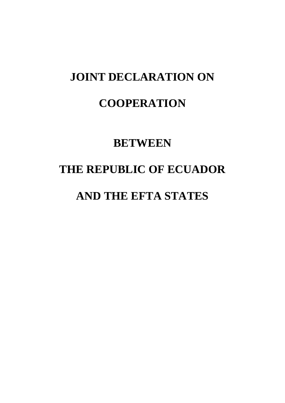### **JOINT DECLARATION ON**

### **COOPERATION**

### **BETWEEN**

# **THE REPUBLIC OF ECUADOR**

## **AND THE EFTA STATES**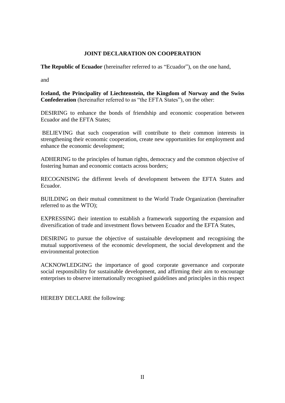#### **JOINT DECLARATION ON COOPERATION**

**The Republic of Ecuador** (hereinafter referred to as "Ecuador"), on the one hand,

and

**Iceland, the Principality of Liechtenstein, the Kingdom of Norway and the Swiss Confederation** (hereinafter referred to as "the EFTA States"), on the other:

DESIRING to enhance the bonds of friendship and economic cooperation between Ecuador and the EFTA States;

BELIEVING that such cooperation will contribute to their common interests in strengthening their economic cooperation, create new opportunities for employment and enhance the economic development;

ADHERING to the principles of human rights, democracy and the common objective of fostering human and economic contacts across borders;

RECOGNISING the different levels of development between the EFTA States and Ecuador.

BUILDING on their mutual commitment to the World Trade Organization (hereinafter referred to as the WTO);

EXPRESSING their intention to establish a framework supporting the expansion and diversification of trade and investment flows between Ecuador and the EFTA States,

DESIRING to pursue the objective of sustainable development and recognising the mutual supportiveness of the economic development, the social development and the environmental protection

ACKNOWLEDGING the importance of good corporate governance and corporate social responsibility for sustainable development, and affirming their aim to encourage enterprises to observe internationally recognised guidelines and principles in this respect

HEREBY DECLARE the following: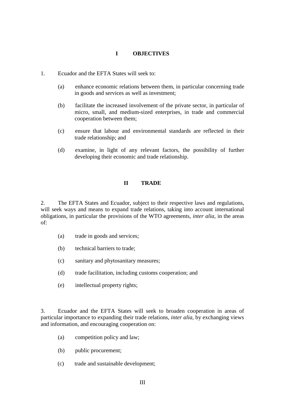#### **I OBJECTIVES**

- 1. Ecuador and the EFTA States will seek to:
	- (a) enhance economic relations between them, in particular concerning trade in goods and services as well as investment;
	- (b) facilitate the increased involvement of the private sector, in particular of micro, small, and medium-sized enterprises, in trade and commercial cooperation between them;
	- (c) ensure that labour and environmental standards are reflected in their trade relationship; and
	- (d) examine, in light of any relevant factors, the possibility of further developing their economic and trade relationship.

#### **II TRADE**

2. The EFTA States and Ecuador, subject to their respective laws and regulations, will seek ways and means to expand trade relations, taking into account international obligations, in particular the provisions of the WTO agreements, *inter alia,* in the areas of:

- (a) trade in goods and services;
- (b) technical barriers to trade;
- (c) sanitary and phytosanitary measures;
- (d) trade facilitation, including customs cooperation; and
- (e) intellectual property rights;

3. Ecuador and the EFTA States will seek to broaden cooperation in areas of particular importance to expanding their trade relations, *inter alia,* by exchanging views and information, and encouraging cooperation on:

- (a) competition policy and law;
- (b) public procurement;
- (c) trade and sustainable development;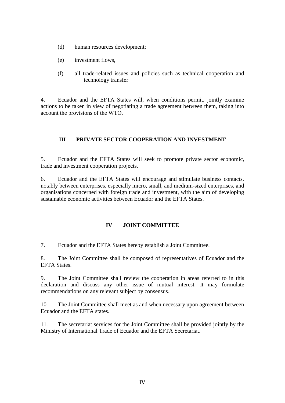- (d) human resources development;
- (e) investment flows,
- (f) all trade-related issues and policies such as technical cooperation and technology transfer

4. Ecuador and the EFTA States will, when conditions permit, jointly examine actions to be taken in view of negotiating a trade agreement between them, taking into account the provisions of the WTO.

#### **III PRIVATE SECTOR COOPERATION AND INVESTMENT**

5. Ecuador and the EFTA States will seek to promote private sector economic, trade and investment cooperation projects.

6. Ecuador and the EFTA States will encourage and stimulate business contacts, notably between enterprises, especially micro, small, and medium-sized enterprises, and organisations concerned with foreign trade and investment, with the aim of developing sustainable economic activities between Ecuador and the EFTA States.

#### **IV JOINT COMMITTEE**

7. Ecuador and the EFTA States hereby establish a Joint Committee.

8. The Joint Committee shall be composed of representatives of Ecuador and the EFTA States.

9. The Joint Committee shall review the cooperation in areas referred to in this declaration and discuss any other issue of mutual interest. It may formulate recommendations on any relevant subject by consensus.

10. The Joint Committee shall meet as and when necessary upon agreement between Ecuador and the EFTA states.

11. The secretariat services for the Joint Committee shall be provided jointly by the Ministry of International Trade of Ecuador and the EFTA Secretariat.